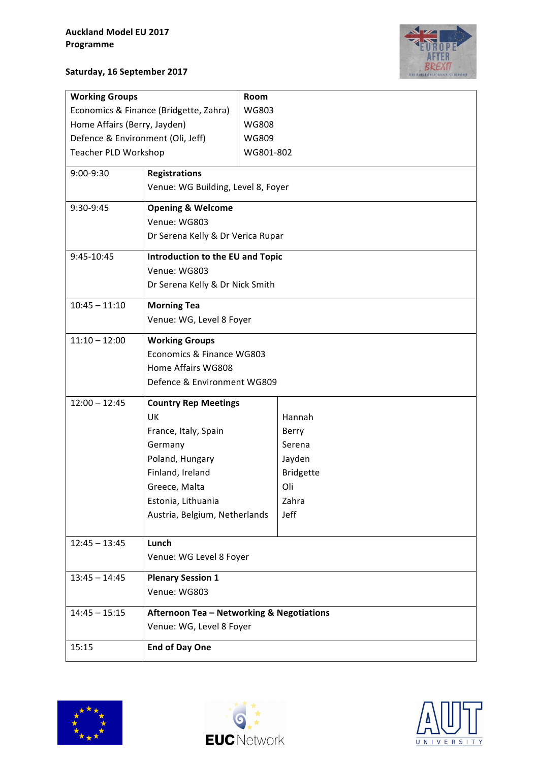## Saturday, 16 September 2017



|                                        |                                           | Room         |                  |  |
|----------------------------------------|-------------------------------------------|--------------|------------------|--|
| <b>Working Groups</b>                  |                                           |              |                  |  |
| Economics & Finance (Bridgette, Zahra) |                                           | WG803        |                  |  |
| Home Affairs (Berry, Jayden)           |                                           | <b>WG808</b> |                  |  |
| Defence & Environment (Oli, Jeff)      |                                           | <b>WG809</b> |                  |  |
| Teacher PLD Workshop                   |                                           | WG801-802    |                  |  |
| 9:00-9:30                              | <b>Registrations</b>                      |              |                  |  |
|                                        | Venue: WG Building, Level 8, Foyer        |              |                  |  |
| 9:30-9:45                              | <b>Opening &amp; Welcome</b>              |              |                  |  |
|                                        | Venue: WG803                              |              |                  |  |
|                                        | Dr Serena Kelly & Dr Verica Rupar         |              |                  |  |
| 9:45-10:45                             | Introduction to the EU and Topic          |              |                  |  |
|                                        | Venue: WG803                              |              |                  |  |
|                                        | Dr Serena Kelly & Dr Nick Smith           |              |                  |  |
| $10:45 - 11:10$                        | <b>Morning Tea</b>                        |              |                  |  |
|                                        | Venue: WG, Level 8 Foyer                  |              |                  |  |
| $11:10 - 12:00$                        | <b>Working Groups</b>                     |              |                  |  |
|                                        | Economics & Finance WG803                 |              |                  |  |
|                                        | Home Affairs WG808                        |              |                  |  |
|                                        | Defence & Environment WG809               |              |                  |  |
| $12:00 - 12:45$                        | <b>Country Rep Meetings</b>               |              |                  |  |
|                                        | UK                                        |              | Hannah           |  |
|                                        | France, Italy, Spain                      |              | Berry            |  |
|                                        | Germany                                   |              | Serena           |  |
|                                        | Poland, Hungary                           |              | Jayden           |  |
|                                        | Finland, Ireland                          |              | <b>Bridgette</b> |  |
|                                        | Greece, Malta                             |              | Oli              |  |
|                                        | Estonia, Lithuania                        |              | Zahra            |  |
|                                        | Austria, Belgium, Netherlands             |              | Jeff             |  |
|                                        |                                           |              |                  |  |
| $12:45 - 13:45$                        | Lunch                                     |              |                  |  |
|                                        | Venue: WG Level 8 Foyer                   |              |                  |  |
| $13:45 - 14:45$                        | <b>Plenary Session 1</b>                  |              |                  |  |
|                                        | Venue: WG803                              |              |                  |  |
| $14:45 - 15:15$                        | Afternoon Tea - Networking & Negotiations |              |                  |  |
|                                        | Venue: WG, Level 8 Foyer                  |              |                  |  |
| 15:15                                  | <b>End of Day One</b>                     |              |                  |  |